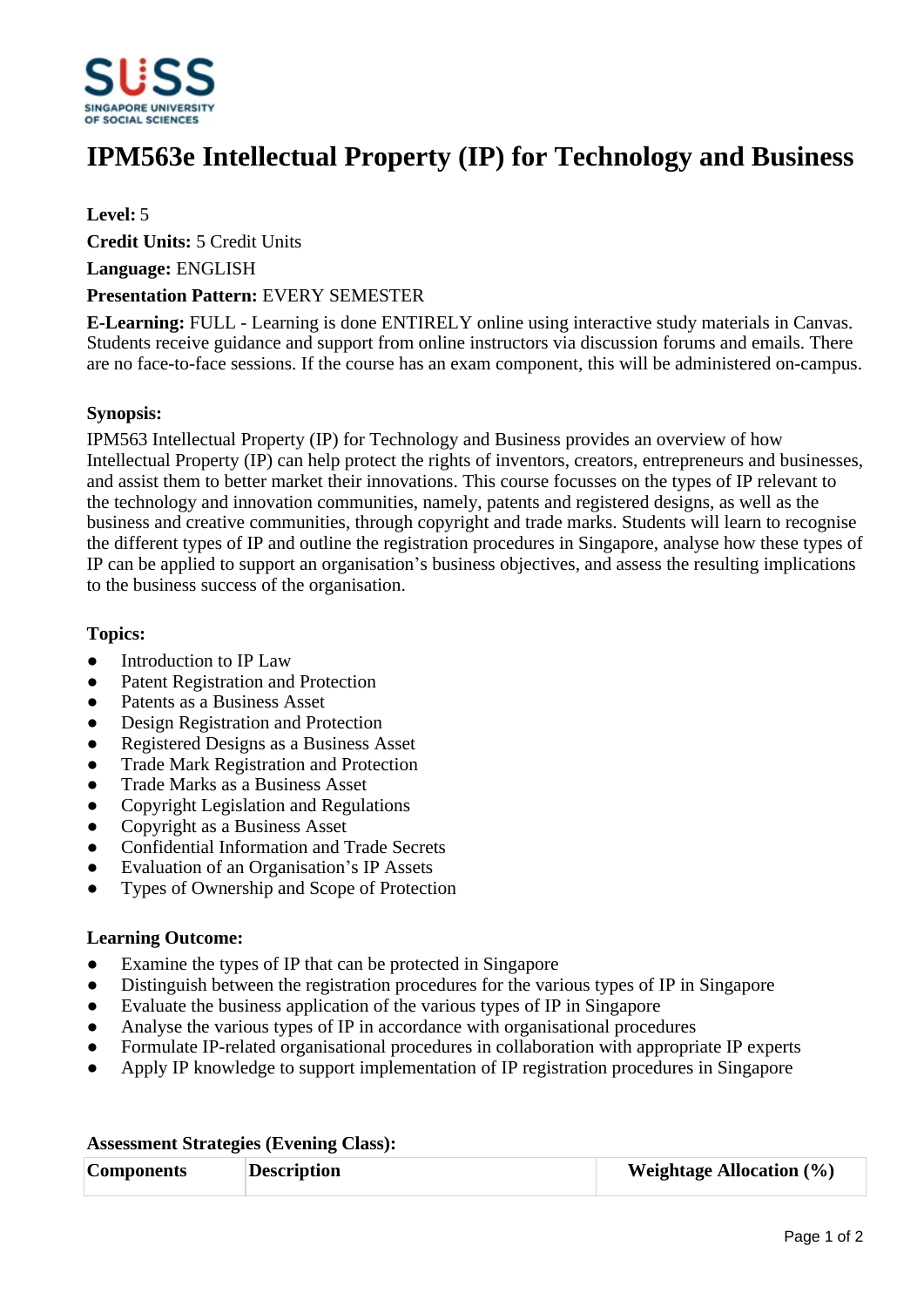

# **IPM563e Intellectual Property (IP) for Technology and Business**

## **Level:** 5

**Credit Units:** 5 Credit Units

**Language:** ENGLISH

#### **Presentation Pattern:** EVERY SEMESTER

**E-Learning:** FULL - Learning is done ENTIRELY online using interactive study materials in Canvas. Students receive guidance and support from online instructors via discussion forums and emails. There are no face-to-face sessions. If the course has an exam component, this will be administered on-campus.

## **Synopsis:**

IPM563 Intellectual Property (IP) for Technology and Business provides an overview of how Intellectual Property (IP) can help protect the rights of inventors, creators, entrepreneurs and businesses, and assist them to better market their innovations. This course focusses on the types of IP relevant to the technology and innovation communities, namely, patents and registered designs, as well as the business and creative communities, through copyright and trade marks. Students will learn to recognise the different types of IP and outline the registration procedures in Singapore, analyse how these types of IP can be applied to support an organisation's business objectives, and assess the resulting implications to the business success of the organisation.

## **Topics:**

- Introduction to IP Law
- Patent Registration and Protection
- Patents as a Business Asset
- Design Registration and Protection
- Registered Designs as a Business Asset
- Trade Mark Registration and Protection
- Trade Marks as a Business Asset
- ƔCopyright Legislation and Regulations
- Copyright as a Business Asset
- Confidential Information and Trade Secrets
- Evaluation of an Organisation's IP Assets
- ƔTypes of Ownership and Scope of Protection

#### **Learning Outcome:**

- Examine the types of IP that can be protected in Singapore
- Distinguish between the registration procedures for the various types of IP in Singapore
- Evaluate the business application of the various types of IP in Singapore
- Analyse the various types of IP in accordance with organisational procedures
- Formulate IP-related organisational procedures in collaboration with appropriate IP experts
- Apply IP knowledge to support implementation of IP registration procedures in Singapore

| <b>Components</b> | <b>Description</b> | <b>Weightage Allocation</b> $(\%)$ |  |
|-------------------|--------------------|------------------------------------|--|

#### **Assessment Strategies (Evening Class):**